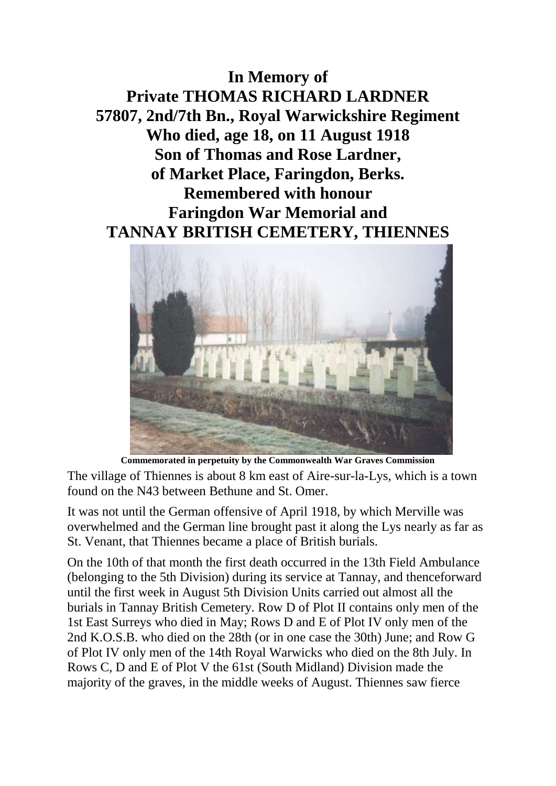**In Memory of Private THOMAS RICHARD LARDNER 57807, 2nd/7th Bn., Royal Warwickshire Regiment Who died, age 18, on 11 August 1918 Son of Thomas and Rose Lardner, of Market Place, Faringdon, Berks. Remembered with honour Faringdon War Memorial and TANNAY BRITISH CEMETERY, THIENNES**



**Commemorated in perpetuity by the Commonwealth War Graves Commission**  The village of Thiennes is about 8 km east of Aire-sur-la-Lys, which is a town found on the N43 between Bethune and St. Omer.

It was not until the German offensive of April 1918, by which Merville was overwhelmed and the German line brought past it along the Lys nearly as far as St. Venant, that Thiennes became a place of British burials.

On the 10th of that month the first death occurred in the 13th Field Ambulance (belonging to the 5th Division) during its service at Tannay, and thenceforward until the first week in August 5th Division Units carried out almost all the burials in Tannay British Cemetery. Row D of Plot II contains only men of the 1st East Surreys who died in May; Rows D and E of Plot IV only men of the 2nd K.O.S.B. who died on the 28th (or in one case the 30th) June; and Row G of Plot IV only men of the 14th Royal Warwicks who died on the 8th July. In Rows C, D and E of Plot V the 61st (South Midland) Division made the majority of the graves, in the middle weeks of August. Thiennes saw fierce